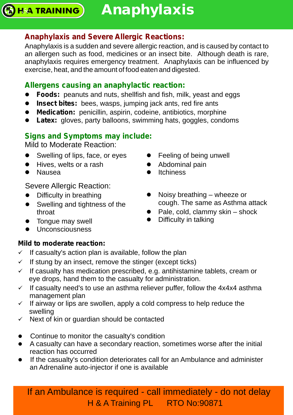## **Anaphylaxis and Severe Allergic Reactions:**

Anaphylaxis is a sudden and severe allergic reaction, and is caused by contact to an allergen such as food, medicines or an insect bite. Although death is rare, anaphylaxis requires emergency treatment. Anaphylaxis can be influenced by exercise, heat, and the amount of food eaten and digested.

## **Allergens causing an anaphylactic reaction:**

- Foods: peanuts and nuts, shellfish and fish, milk, yeast and eggs
- **Insect bites:** bees, wasps, jumping jack ants, red fire ants
- **Medication:** penicillin, aspirin, codeine, antibiotics, morphine
- Latex: gloves, party balloons, swimming hats, goggles, condoms

## **Signs and Symptoms may include:**

Mild to Moderate Reaction:

- Swelling of lips, face, or eyes
- Hives, welts or a rash
- Nausea

**H&A TRAINING** 

Severe Allergic Reaction:

- Difficulty in breathing
- Swelling and tightness of the throat
- Tongue may swell
- Unconsciousness

#### **Mild to moderate reaction:**

- $\checkmark$  If casualty's action plan is available, follow the plan
- $\checkmark$  If stung by an insect, remove the stinger (except ticks)
- $\checkmark$  If casualty has medication prescribed, e.g. antihistamine tablets, cream or eye drops, hand them to the casualty for administration.
- $\checkmark$  If casualty need's to use an asthma reliever puffer, follow the 4x4x4 asthma management plan
- management plan<br>
✓ If airway or lips are swollen, apply a cold compress to help reduce the swelling
- $\checkmark$  Next of kin or guardian should be contacted
- Continue to monitor the casualty's condition
- A casualty can have a secondary reaction, sometimes worse after the initial reaction has occurred
- l If the casualty's condition deteriorates call for an Ambulance and administer an Adrenaline auto-injector if one is available

- Feeling of being unwell
- Abdominal pain
- Itchiness
- Noisy breathing wheeze or cough. The same as Asthma attack
- Pale, cold, clammy skin shock
- Difficulty in talking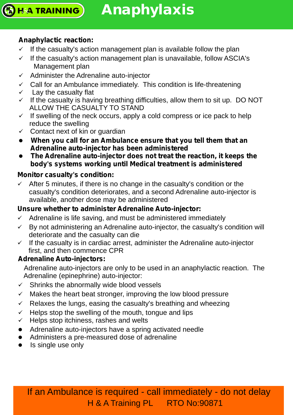**Anaphylaxis**

## **Anaphylactic reaction:**

**H&A TRAINING** 

- $\checkmark$  If the casualty's action management plan is available follow the plan
- $\checkmark$  If the casualty's action management plan is unavailable, follow ASCIA's Management plan
- $\checkmark$  Administer the Adrenaline auto-injector
- $\checkmark$  Call for an Ambulance immediately. This condition is life-threatening
- $\checkmark$  Lay the casualty flat
- $\checkmark$  If the casualty is having breathing difficulties, allow them to sit up. DO NOT ALLOW THE CASUALTY TO STAND
- $\checkmark$  If swelling of the neck occurs, apply a cold compress or ice pack to help reduce the swelling
- $\checkmark$  Contact next of kin or guardian
- *When you call for an Ambulance ensure that you tell them that an*  l *Adrenaline auto-injector has been administered*
- **•** The Adrenaline auto-injector does not treat the reaction, it keeps the *body's systems working until Medical treatment is administered*

#### **Monitor casualty's condition:**

 $\checkmark$  After 5 minutes, if there is no change in the casualty's condition or the casualty's condition deteriorates, and a second Adrenaline auto-injector is available, another dose may be administered

#### **Unsure whether to administer Adrenaline Auto-injector:**

- $\checkmark$  Adrenaline is life saving, and must be administered immediately
- $\checkmark$  By not administering an Adrenaline auto-injector, the casualty's condition will deteriorate and the casualty can die
- $\checkmark$  If the casualty is in cardiac arrest, administer the Adrenaline auto-injector first, and then commence CPR

#### **Adrenaline Auto-injectors:**

Adrenaline auto-injectors are only to be used in an anaphylactic reaction. The Adrenaline (epinephrine) auto-injector:

- $\checkmark$  Shrinks the abnormally wide blood vessels
- $\checkmark$  Makes the heart beat stronger, improving the low blood pressure
- $\checkmark$  Relaxes the lungs, easing the casualty's breathing and wheezing
- $\checkmark$  Helps stop the swelling of the mouth, tongue and lips
- $\checkmark$  Helps stop itchiness, rashes and welts
- Adrenaline auto-injectors have a spring activated needle l
- Administers a pre-measured dose of adrenaline l
- Is single use only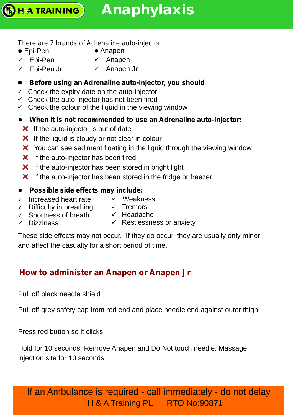#### *There are 2 brands of Adrenaline auto-injector.*

 $\bullet$  Epi-Pen

**H&A TRAINING** 

- $\bullet$  Anapen
- $\checkmark$  Epi-Pen ✓ Anapen
- $\checkmark$  Epi-Pen Jr üAnapen Jr

#### ● Before using an Adrenaline auto-injector, you should

- $\checkmark$  Check the expiry date on the auto-injector
- $\checkmark$  Check the auto-injector has not been fired
- $\checkmark$  Check the colour of the liquid in the viewing window
- l**When it is not recommended to use an Adrenaline auto-injector:**
	- $\mathsf{\times}$  If the auto-injector is out of date
	- $\mathsf{\times}$  If the liquid is cloudy or not clear in colour
	- X You can see sediment floating in the liquid through the viewing window
	- $\mathsf{\times}$  If the auto-injector has been fired
	- $\mathsf{\times}$  If the auto-injector has been stored in bright light
	- $\boldsymbol{\times}$  If the auto-injector has been stored in the fridge or freezer

#### l*Possible side effects may include:*

- $\checkmark$  Increased heart rate
- ü Weakness
- $\checkmark$  Difficulty in breathing
- $\checkmark$  Tremors ✓ Tremors<br>✓ Headache
- $\checkmark$  Shortness of breath
- 

ü Dizziness

 $\checkmark$  Restlessness or anxiety

These side effects may not occur. If they do occur, they are usually only minor and affect the casualty for a short period of time.

## **How to administer an Anapen or Anapen Jr**

Pull off black needle shield

Pull off grey safety cap from red end and place needle end against outer thigh.

Press red button so it clicks

Hold for 10 seconds. Remove Anapen and Do Not touch needle. Massage injection site for 10 seconds